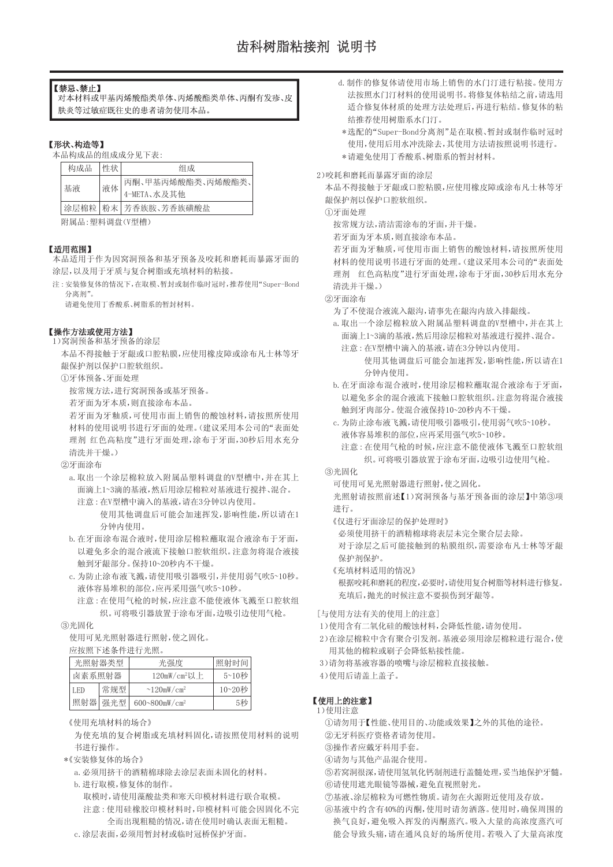# 【禁忌、禁止】

对本材料或甲基丙烯酸酯类单体、丙烯酸酯类单体、丙酮有发疹、皮 肤炎等过敏症既往史的患者请勿使用本品。

# 【形状、构造等】

本品构成品的组成成分见下表:

| 构成品  | 性状 | 组成                |  |
|------|----|-------------------|--|
| 基液   | 液体 | 丙酮、甲基丙烯酸酯类、丙烯酸酯类、 |  |
|      |    | 4-META、水及其他       |  |
| 涂层棉粒 |    | 粉末 芳香族胺、芳香族磺酸盐    |  |

附属品:塑料调盘(V型槽)

# 【适用范围】

本品适用于作为因窝洞预备和基牙预备及咬耗和磨耗而暴露牙面的 涂层,以及用于牙质与复合树脂或充填材料的粘接。

注:安装修复体的情况下,在取模、暂封或制作临时冠时,推荐使用"Super-Bond 分离剂"。

请避免使用丁香酸系、树脂系的暂封材料。

# 【操作方法或使用方法】

1)窝洞预备和基牙预备的涂层

本品不得接触于牙龈或口腔粘膜,应使用橡皮障或涂布凡士林等牙 龈保护剂以保护口腔软组织。

①牙体预备、牙面处理

按常规方法,进行窝洞预备或基牙预备。

若牙面为牙本质,则直接涂布本品。

若牙面为牙釉质,可使用市面上销售的酸蚀材料,请按照所使用 材料的使用说明书进行牙面的处理。(建议采用本公司的"表面处 理剂 红色高粘度"进行牙面处理,涂布于牙面,30秒后用水充分 清洗并干燥。)

②牙面涂布

- a.取出一个涂层棉粒放入附属品塑料调盘的V型槽中,并在其上 面滴上1~3滴的基液,然后用涂层棉粒对基液进行搅拌、混合。 注意:在V型槽中滴入的基液,请在3分钟以内使用。
	- 使用其他调盘后可能会加速挥发,影响性能,所以请在1 分钟内使用。
- b.在牙面涂布混合液时,使用涂层棉粒蘸取混合液涂布于牙面, 以避免多余的混合液流下接触口腔软组织。注意勿将混合液接 触到牙龈部分。保持10~20秒内不干燥。
- c.为防止涂布液飞溅,请使用吸引器吸引,并使用弱气吹5~10秒。 液体容易堆积的部位,应再采用强气吹5~10秒。
	- 注意:在使用气枪的时候,应注意不能使液体飞溅至口腔软组 织。可将吸引器放置于涂布牙面,边吸引边使用气枪。

# ③光固化

使用可见光照射器进行照射,使之固化。

## 应按照下述条件进行光照。

| 光照射器类型 |         | 光强度                          | 照射时间   |
|--------|---------|------------------------------|--------|
| 卤素系照射器 |         | $120mW/cm2U$ 上               | 5~10秒  |
| I ED   | 常规型     | $\sim$ 120mW/cm <sup>2</sup> | 10~20秒 |
|        | 照射器 强光型 | 600~800mW/cm <sup>2</sup>    | 5秒。    |

《使用充填材料的场合》

为使充填的复合树脂或充填材料固化,请按照使用材料的说明 书进行操作。

- \*《安装修复体的场合》
	- a.必须用挤干的酒精棉球除去涂层表面未固化的材料。
	- b.进行取模,修复体的制作。
		- 取模时,请使用藻酸盐类和寒天印模材料进行联合取模。 注意:使用硅橡胶印模材料时,印模材料可能会因固化不完 全而出现粗糙的情况,请在使用时确认表面无粗糙。
	- c.涂层表面,必须用暂封材或临时冠桥保护牙面。
- d.制作的修复体请使用市场上销售的水门汀进行粘接。使用方 法按照水门汀材料的使用说明书。将修复体粘结之前,请选用 适合修复体材质的处理方法处理后,再进行粘结。修复体的粘 结推荐使用树脂系水门汀。
	- 选配的"Super-Bond分离剂"是在取模、暂封或制作临时冠时 \* 使用,使用后用水冲洗除去,其使用方法请按照说明书进行。
- \*请避免使用丁香酸系、树脂系的暂封材料。

2)咬耗和磨耗而暴露牙面的涂层

本品不得接触于牙龈或口腔粘膜,应使用橡皮障或涂布凡士林等牙 龈保护剂以保护口腔软组织。

①牙面处理

按常规方法,清洁需涂布的牙面,并干燥。

若牙面为牙本质,则直接涂布本品。

若牙面为牙釉质,可使用市面上销售的酸蚀材料,请按照所使用 材料的使用说明书进行牙面的处理。(建议采用本公司的"表面处 理剂 红色高粘度"进行牙面处理,涂布于牙面,30秒后用水充分 清洗并干燥。)

②牙面涂布

- 为了不使混合液流入龈沟,请事先在龈沟内放入排龈线。
- a.取出一个涂层棉粒放入附属品塑料调盘的V型槽中,并在其上 面滴上1~3滴的基液,然后用涂层棉粒对基液进行搅拌、混合。
	- 注意:在V型槽中滴入的基液,请在3分钟以内使用。 使用其他调盘后可能会加速挥发,影响性能,所以请在1 分钟内使用。
- b.在牙面涂布混合液时,使用涂层棉粒蘸取混合液涂布于牙面, 以避免多余的混合液流下接触口腔软组织。注意勿将混合液接 触到牙肉部分。使混合液保持10~20秒内不干燥。
- c.为防止涂布液飞溅,请使用吸引器吸引,使用弱气吹5~10秒。 液体容易堆积的部位,应再采用强气吹5~10秒。
	- 注意:在使用气枪的时候,应注意不能使液体飞溅至口腔软组 织。可将吸引器放置于涂布牙面,边吸引边使用气枪。
- ③光固化

可使用可见光照射器进行照射,使之固化。

光照射请按照前述【1)窝洞预备与基牙预备面的涂层】中第③项 进行。

《仅进行牙面涂层的保护处理时》

必须使用挤干的酒精棉球将表层未完全聚合层去除。

对于涂层之后可能接触到的粘膜组织,需要涂布凡士林等牙龈 保护剂保护。

《充填材料适用的情况》

根据咬耗和磨耗的程度,必要时,请使用复合树脂等材料进行修复。 充填后,抛光的时候注意不要损伤到牙龈等。

# [与使用方法有关的使用上的注意]

- 1)使用含有二氧化硅的酸蚀材料,会降低性能,请勿使用。
- 2)在涂层棉粒中含有聚合引发剂。基液必须用涂层棉粒进行混合,使 用其他的棉粒或刷子会降低粘接性能。
- 3)请勿将基液容器的喷嘴与涂层棉粒直接接触。
- 4)使用后请盖上盖子。

# 【使用上的注意】

1)使用注意

①请勿用于【性能、使用目的、功能或效果】之外的其他的途径。 ②无牙科医疗资格者请勿使用。

- ③操作者应戴牙科用手套。
- ④请勿与其他产品混合使用。

⑤若窝洞很深,请使用氢氧化钙制剂进行盖髓处理,妥当地保护牙髓。 ⑥请使用遮光眼镜等器械,避免直视照射光。

- ⑦基液、涂层棉粒为可燃性物质。请勿在火源附近使用及存放。
- ⑧基液中约含有40%的丙酮,使用时请勿洒落。使用时,确保周围的 换气良好,避免吸入挥发的丙酮蒸汽。吸入大量的高浓度蒸汽可 能会导致头痛,请在通风良好的场所使用。若吸入了大量高浓度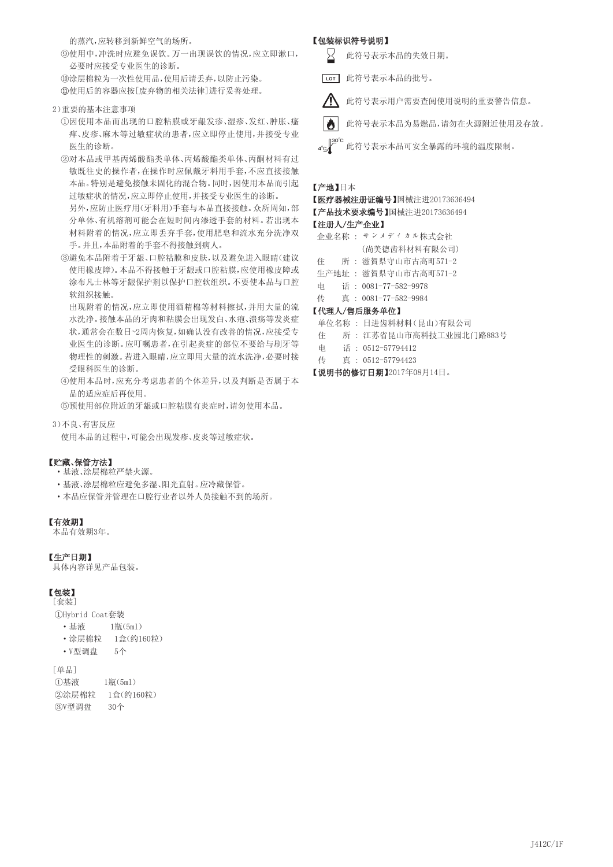的蒸汽,应转移到新鲜空气的场所。

⑨使用中,冲洗时应避免误饮。万一出现误饮的情况,应立即漱口, 必要时应接受专业医生的诊断。

⑩涂层棉粒为一次性使用品,使用后请丢弃,以防止污染。 使用后的容器应按[废弃物的相关法律]进行妥善处理。

2)重要的基本注意事项

①因使用本品而出现的口腔粘膜或牙龈发疹、湿疹、发红、肿胀、瘙 痒、皮疹、麻木等过敏症状的患者,应立即停止使用,并接受专业 医生的诊断。

②对本品或甲基丙烯酸酯类单体、丙烯酸酯类单体、丙酮材料有过 敏既往史的操作者,在操作时应佩戴牙科用手套,不应直接接触 本品。特别是避免接触未固化的混合物。同时,因使用本品而引起 过敏症状的情况,应立即停止使用,并接受专业医生的诊断。

另外,应防止医疗用(牙科用)手套与本品直接接触。众所周知,部 分单体、有机溶剂可能会在短时间内渗透手套的材料。若出现本 材料附着的情况,应立即丢弃手套,使用肥皂和流水充分洗净双 手。并且,本品附着的手套不得接触到病人。

③避免本品附着于牙龈、口腔粘膜和皮肤,以及避免进入眼睛(建议 使用橡皮障)。本品不得接触于牙龈或口腔粘膜,应使用橡皮障或 涂布凡士林等牙龈保护剂以保护口腔软组织。不要使本品与口腔 软组织接触。

出现附着的情况,应立即使用酒精棉等材料擦拭,并用大量的流 水洗净。接触本品的牙肉和粘膜会出现发白、水疱、溃疡等发炎症 状,通常会在数日~2周内恢复,如确认没有改善的情况,应接受专 业医生的诊断。应叮嘱患者,在引起炎症的部位不要给与刷牙等 物理性的刺激。若进入眼睛,应立即用大量的流水洗净,必要时接 受眼科医生的诊断。

④使用本品时,应充分考虑患者的个体差异,以及判断是否属于本 品的适应症后再使用。

⑤预使用部位附近的牙龈或口腔粘膜有炎症时,请勿使用本品。

3)不良、有害反应 使用本品的过程中,可能会出现发疹、皮炎等过敏症状。

# 【贮藏、保管方法】

- ·基液、涂层棉粒严禁火源。
- ·基液、涂层棉粒应避免多湿、阳光直射。应冷藏保管。
- ·本品应保管并管理在口腔行业者以外人员接触不到的场所。

# 【有效期】

本品有效期3年。

# 【生产日期】

具体内容详见产品包装。

# 【包装】

[套装] ①Hybrid Coat套装

• 基液 1瓶(5ml)

- ·涂层棉粒 1盒(约160粒)
- ·V型调盘 5个

```
[单品]
```

```
①基液   1瓶(5ml)
②涂层棉粒 1盒(约160粒)
③V型调盘 30个
```
# 【包装标识符号说明】

- 此符号表示本品的失效日期。
- 此符号表示本品的批号。 **LOT**
- $\sqrt{N}$ 此符号表示用户需要查阅使用说明的重要警告信息。
- M 此符号表示本品为易燃品,请勿在火源附近使用及存放。
- 4℃/BO°C<br>4℃/空 此符号表示本品可安全暴露的环境的温度限制。

# 【产地】日本

# 【医疗器械注册证编号】国械注进20173636494

# 【产品技术要求编号】国械注进20173636494

# 【注册人/生产企业】

- 企业名称 : サンメディカル株式会社
- (尚美德齿科材料有限公司)
- 住 所 : 滋賀県守山市古高町571-2
- 生产地址 : 滋賀県守山市古高町571-2
- 电 话 : 0081-77-582-9978
- 传 真 : 0081-77-582-9984

# 【代理人/售后服务单位】

- 单位名称 : 日进齿科材料(昆山)有限公司
- 住 所 : 江苏省昆山市高科技工业园北门路883号
- 电 话 : 0512-57794412

# 传 真 : 0512-57794423

# 【说明书的修订日期】2017年08月14日。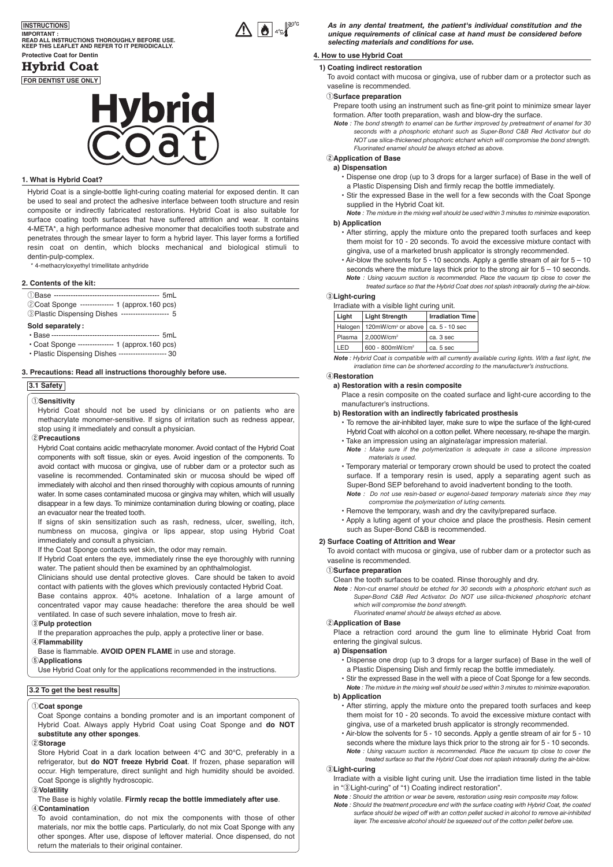# **Protective Coat for Dentin INSTRUCTIONS IMPORTANT : READ ALL INSTRUCTIONS THOROUGHLY BEFORE USE. KEEP THIS LEAFLET AND REFER TO IT PERIODICALLY.**

# Hybrid Coat

**FOR DENTIST USE ONLY**

# **lybrid**

# **1. What is Hybrid Coat?**

Hybrid Coat is a single-bottle light-curing coating material for exposed dentin. It can be used to seal and protect the adhesive interface between tooth structure and resin composite or indirectly fabricated restorations. Hybrid Coat is also suitable for surface coating tooth surfaces that have suffered attrition and wear. It contains 4-META\*, a high performance adhesive monomer that decalcifies tooth substrate and penetrates through the smear layer to form a hybrid layer. This layer forms a fortified resin coat on dentin, which blocks mechanical and biological stimuli to dentin-pulp-complex.

4-methacryloxyethyl trimellitate anhydride

# **2. Contents of the kit:**

- qBase -------------------------------------------- 5mL
- @Coat Sponge -------------- 1 (approx.160 pcs) **3Plastic Dispensing Dishes ------------------- 5**

- **Sold separately:**
- Base --------------------------------------------- 5mL
- Coat Sponge --------------- 1 (approx.160 pcs)
- Plastic Dispensing Dishes -------------------- 30

# **3. Precautions: Read all instructions thoroughly before use.**

#### **3.1 Safety**

# q**Sensitivity**

Hybrid Coat should not be used by clinicians or on patients who are methacrylate monomer-sensitive. If signs of irritation such as redness appear, stop using it immediately and consult a physician.

#### w**Precautions**

Hybrid Coat contains acidic methacrylate monomer. Avoid contact of the Hybrid Coat components with soft tissue, skin or eyes. Avoid ingestion of the components. To avoid contact with mucosa or gingiva, use of rubber dam or a protector such as vaseline is recommended. Contaminated skin or mucosa should be wiped off immediately with alcohol and then rinsed thoroughly with copious amounts of running water. In some cases contaminated mucosa or gingiva may whiten, which will usually disappear in a few days. To minimize contamination during blowing or coating, place an evacuator near the treated tooth.

If signs of skin sensitization such as rash, redness, ulcer, swelling, itch, numbness on mucosa, gingiva or lips appear, stop using Hybrid Coat immediately and consult a physician.

If the Coat Sponge contacts wet skin, the odor may remain.

If Hybrid Coat enters the eye, immediately rinse the eye thoroughly with running water. The patient should then be examined by an ophthalmologist.

Clinicians should use dental protective gloves. Care should be taken to avoid contact with patients with the gloves which previously contacted Hybrid Coat.

Base contains approx. 40% acetone. Inhalation of a large amount of concentrated vapor may cause headache: therefore the area should be well ventilated. In case of such severe inhalation, move to fresh air.

# e**Pulp protection**

If the preparation approaches the pulp, apply a protective liner or base.

# r**Flammability**

Base is flammable. **AVOID OPEN FLAME** in use and storage.

# t**Applications**

Use Hybrid Coat only for the applications recommended in the instructions.

# **3.2 To get the best results**

#### q**Coat sponge**

Coat Sponge contains a bonding promoter and is an important component of Hybrid Coat. Always apply Hybrid Coat using Coat Sponge and **do NOT substitute any other sponges**.

#### 2)Storage

Store Hybrid Coat in a dark location between 4°C and 30°C, preferably in a refrigerator, but **do NOT freeze Hybrid Coat**. If frozen, phase separation will occur. High temperature, direct sunlight and high humidity should be avoided. Coat Sponge is slightly hydroscopic.

# e**Volatility**

#### The Base is highly volatile. **Firmly recap the bottle immediately after use**. r**Contamination**

To avoid contamination, do not mix the components with those of other materials, nor mix the bottle caps. Particularly, do not mix Coat Sponge with any other sponges. After use, dispose of leftover material. Once dispensed, do not return the materials to their original container.

*As in any dental treatment, the patient's individual constitution and the unique requirements of clinical case at hand must be considered before selecting materials and conditions for use.*

# **4. How to use Hybrid Coat**

## **1) Coating indirect restoration**

To avoid contact with mucosa or gingiva, use of rubber dam or a protector such as vaseline is recommended.

#### q**Surface preparation**

Prepare tooth using an instrument such as fine-grit point to minimize smear layer formation. After tooth preparation, wash and blow-dry the surface.

*Note : The bond strength to enamel can be further improved by pretreatment of enamel for 30 seconds with a phosphoric etchant such as Super-Bond C&B Red Activator but do NOT use silica-thickened phosphoric etchant which will compromise the bond strength. Fluorinated enamel should be always etched as above.*

#### w**Application of Base a) Dispensation**

- Dispense one drop (up to 3 drops for a larger surface) of Base in the well of a Plastic Dispensing Dish and firmly recap the bottle immediately.
- Stir the expressed Base in the well for a few seconds with the Coat Sponge supplied in the Hybrid Coat kit.
- *Note : The mixture in the mixing well should be used within 3 minutes to minimize evaporation.*

# **b) Application**

- After stirring, apply the mixture onto the prepared tooth surfaces and keep them moist for 10 - 20 seconds. To avoid the excessive mixture contact with gingiva, use of a marketed brush applicator is strongly recommended.
- Air-blow the solvents for 5 10 seconds. Apply a gentle stream of air for 5 10 seconds where the mixture lays thick prior to the strong air for  $5 - 10$  seconds. *Note : Using vacuum suction is recommended. Place the vacuum tip close to cover the treated surface so that the Hybrid Coat does not splash intraorally during the air-blow.*

# e**Light-curing**

| Irradiate with a visible light curing unit. |                                                           |                         |  |
|---------------------------------------------|-----------------------------------------------------------|-------------------------|--|
| Liaht                                       | <b>Light Strength</b>                                     | <b>Irradiation Time</b> |  |
|                                             | Halogen   120mW/cm <sup>2</sup> or above   ca. 5 - 10 sec |                         |  |
| Plasma                                      | 2.000W/cm <sup>2</sup>                                    | ca. 3 sec               |  |
| I FD                                        | 600 - 800mW/cm <sup>2</sup>                               | ca. 5 sec               |  |

*Note : Hybrid Coat is compatible with all currently available curing lights. With a fast light, the irradiation time can be shortened according to the manufacturer's instructions.*

# r**Restoration**

**a) Restoration with a resin composite** Place a resin composite on the coated surface and light-cure according to the manufacturer's instructions.

#### **b) Restoration with an indirectly fabricated prosthesis**

- To remove the air-inhibited layer, make sure to wipe the surface of the light-cured Hybrid Coat with alcohol on a cotton pellet. Where necessary, re-shape the margin.
- Take an impression using an alginate/agar impression material. *Note : Make sure if the polymerization is adequate in case a silicone impression materials is used.*
- Temporary material or temporary crown should be used to protect the coated surface. If a temporary resin is used, apply a separating agent such as Super-Bond SEP beforehand to avoid inadvertent bonding to the tooth.
- *Note : Do not use resin-based or eugenol-based temporary materials since they may compromise the polymerization of luting cements.*
- Remove the temporary, wash and dry the cavity/prepared surface.
- Apply a luting agent of your choice and place the prosthesis. Resin cement such as Super-Bond C&B is recommended.

## **2) Surface Coating of Attrition and Wear**

To avoid contact with mucosa or gingiva, use of rubber dam or a protector such as vaseline is recommended.

q**Surface preparation**

Clean the tooth surfaces to be coated. Rinse thoroughly and dry. *Note : Non-cut enamel should be etched for 30 seconds with a phosphoric etchant such as* 

*Super-Bond C&B Red Activator. Do NOT use silica-thickened phosphoric etchant which will compromise the bond strength. Fluorinated enamel should be always etched as above.*

# w**Application of Base**

Place a retraction cord around the gum line to eliminate Hybrid Coat from entering the gingival sulcus.

#### **a) Dispensation**

- Dispense one drop (up to 3 drops for a larger surface) of Base in the well of a Plastic Dispensing Dish and firmly recap the bottle immediately.
- Stir the expressed Base in the well with a piece of Coat Sponge for a few seconds.
- *Note : The mixture in the mixing well should be used within 3 minutes to minimize evaporation.*  **b) Application**

- After stirring, apply the mixture onto the prepared tooth surfaces and keep them moist for 10 - 20 seconds. To avoid the excessive mixture contact with gingiva, use of a marketed brush applicator is strongly recommended.
- Air-blow the solvents for 5 10 seconds. Apply a gentle stream of air for 5 10 seconds where the mixture lays thick prior to the strong air for 5 - 10 seconds. *Note : Using vacuum suction is recommended. Place the vacuum tip close to cover the treated surface so that the Hybrid Coat does not splash intraorally during the air-blow.*

#### e**Light-curing**

Irradiate with a visible light curing unit. Use the irradiation time listed in the table in "®Light-curing" of "1) Coating indirect restoration".

- *Note : Should the attrition or wear be severe, restoration using resin composite may follow.*
- *Note : Should the treatment procedure end with the surface coating with Hybrid Coat, the coated surface should be wiped off with an cotton pellet sucked in alcohol to remove air-inhibited layer. The excessive alcohol should be squeezed out of the cotton pellet before use.*